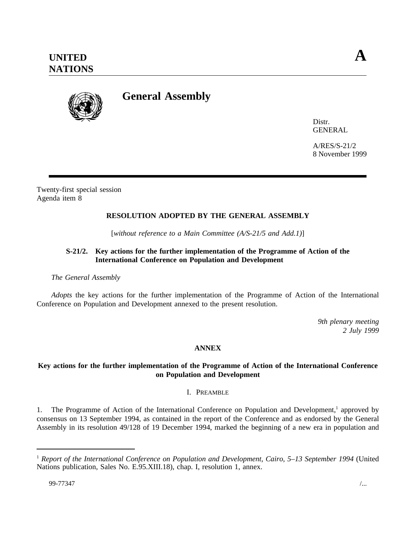

# **General Assembly**

Distr. GENERAL

A/RES/S-21/2 8 November 1999

Twenty-first special session Agenda item 8

# **RESOLUTION ADOPTED BY THE GENERAL ASSEMBLY**

[*without reference to a Main Committee (A/S-21/5 and Add.1)*]

# **S-21/2. Key actions for the further implementation of the Programme of Action of the International Conference on Population and Development**

# *The General Assembly*

*Adopts* the key actions for the further implementation of the Programme of Action of the International Conference on Population and Development annexed to the present resolution.

> *9th plenary meeting 2 July 1999*

# **ANNEX**

# **Key actions for the further implementation of the Programme of Action of the International Conference on Population and Development**

I. PREAMBLE

1. The Programme of Action of the International Conference on Population and Development,<sup>1</sup> approved by consensus on 13 September 1994, as contained in the report of the Conference and as endorsed by the General Assembly in its resolution 49/128 of 19 December 1994, marked the beginning of a new era in population and

<sup>1</sup> *Report of the International Conference on Population and Development, Cairo, 5–13 September 1994* (United Nations publication, Sales No. E.95.XIII.18), chap. I, resolution 1, annex.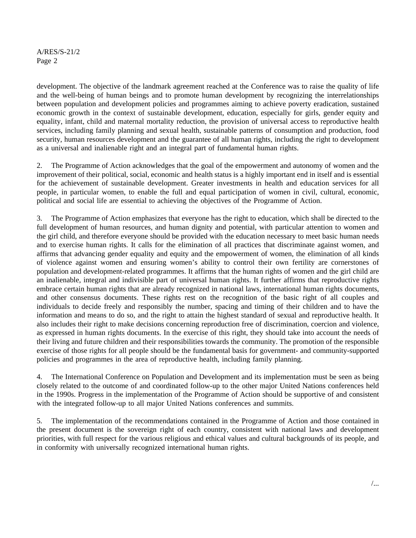development. The objective of the landmark agreement reached at the Conference was to raise the quality of life and the well-being of human beings and to promote human development by recognizing the interrelationships between population and development policies and programmes aiming to achieve poverty eradication, sustained economic growth in the context of sustainable development, education, especially for girls, gender equity and equality, infant, child and maternal mortality reduction, the provision of universal access to reproductive health services, including family planning and sexual health, sustainable patterns of consumption and production, food security, human resources development and the guarantee of all human rights, including the right to development as a universal and inalienable right and an integral part of fundamental human rights.

2. The Programme of Action acknowledges that the goal of the empowerment and autonomy of women and the improvement of their political, social, economic and health status is a highly important end in itself and is essential for the achievement of sustainable development. Greater investments in health and education services for all people, in particular women, to enable the full and equal participation of women in civil, cultural, economic, political and social life are essential to achieving the objectives of the Programme of Action.

3. The Programme of Action emphasizes that everyone has the right to education, which shall be directed to the full development of human resources, and human dignity and potential, with particular attention to women and the girl child, and therefore everyone should be provided with the education necessary to meet basic human needs and to exercise human rights. It calls for the elimination of all practices that discriminate against women, and affirms that advancing gender equality and equity and the empowerment of women, the elimination of all kinds of violence against women and ensuring women's ability to control their own fertility are cornerstones of population and development-related programmes. It affirms that the human rights of women and the girl child are an inalienable, integral and indivisible part of universal human rights. It further affirms that reproductive rights embrace certain human rights that are already recognized in national laws, international human rights documents, and other consensus documents. These rights rest on the recognition of the basic right of all couples and individuals to decide freely and responsibly the number, spacing and timing of their children and to have the information and means to do so, and the right to attain the highest standard of sexual and reproductive health. It also includes their right to make decisions concerning reproduction free of discrimination, coercion and violence, as expressed in human rights documents. In the exercise of this right, they should take into account the needs of their living and future children and their responsibilities towards the community. The promotion of the responsible exercise of those rights for all people should be the fundamental basis for government- and community-supported policies and programmes in the area of reproductive health, including family planning.

4. The International Conference on Population and Development and its implementation must be seen as being closely related to the outcome of and coordinated follow-up to the other major United Nations conferences held in the 1990s. Progress in the implementation of the Programme of Action should be supportive of and consistent with the integrated follow-up to all major United Nations conferences and summits.

5. The implementation of the recommendations contained in the Programme of Action and those contained in the present document is the sovereign right of each country, consistent with national laws and development priorities, with full respect for the various religious and ethical values and cultural backgrounds of its people, and in conformity with universally recognized international human rights.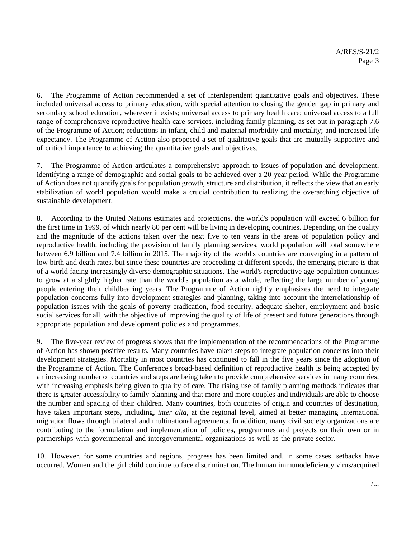6. The Programme of Action recommended a set of interdependent quantitative goals and objectives. These included universal access to primary education, with special attention to closing the gender gap in primary and secondary school education, wherever it exists; universal access to primary health care; universal access to a full range of comprehensive reproductive health-care services, including family planning, as set out in paragraph 7.6 of the Programme of Action; reductions in infant, child and maternal morbidity and mortality; and increased life expectancy. The Programme of Action also proposed a set of qualitative goals that are mutually supportive and of critical importance to achieving the quantitative goals and objectives.

7. The Programme of Action articulates a comprehensive approach to issues of population and development, identifying a range of demographic and social goals to be achieved over a 20-year period. While the Programme of Action does not quantify goals for population growth, structure and distribution, it reflects the view that an early stabilization of world population would make a crucial contribution to realizing the overarching objective of sustainable development.

8. According to the United Nations estimates and projections, the world's population will exceed 6 billion for the first time in 1999, of which nearly 80 per cent will be living in developing countries. Depending on the quality and the magnitude of the actions taken over the next five to ten years in the areas of population policy and reproductive health, including the provision of family planning services, world population will total somewhere between 6.9 billion and 7.4 billion in 2015. The majority of the world's countries are converging in a pattern of low birth and death rates, but since these countries are proceeding at different speeds, the emerging picture is that of a world facing increasingly diverse demographic situations. The world's reproductive age population continues to grow at a slightly higher rate than the world's population as a whole, reflecting the large number of young people entering their childbearing years. The Programme of Action rightly emphasizes the need to integrate population concerns fully into development strategies and planning, taking into account the interrelationship of population issues with the goals of poverty eradication, food security, adequate shelter, employment and basic social services for all, with the objective of improving the quality of life of present and future generations through appropriate population and development policies and programmes.

9. The five-year review of progress shows that the implementation of the recommendations of the Programme of Action has shown positive results. Many countries have taken steps to integrate population concerns into their development strategies. Mortality in most countries has continued to fall in the five years since the adoption of the Programme of Action. The Conference's broad-based definition of reproductive health is being accepted by an increasing number of countries and steps are being taken to provide comprehensive services in many countries, with increasing emphasis being given to quality of care. The rising use of family planning methods indicates that there is greater accessibility to family planning and that more and more couples and individuals are able to choose the number and spacing of their children. Many countries, both countries of origin and countries of destination, have taken important steps, including, *inter alia*, at the regional level, aimed at better managing international migration flows through bilateral and multinational agreements. In addition, many civil society organizations are contributing to the formulation and implementation of policies, programmes and projects on their own or in partnerships with governmental and intergovernmental organizations as well as the private sector.

10. However, for some countries and regions, progress has been limited and, in some cases, setbacks have occurred. Women and the girl child continue to face discrimination. The human immunodeficiency virus/acquired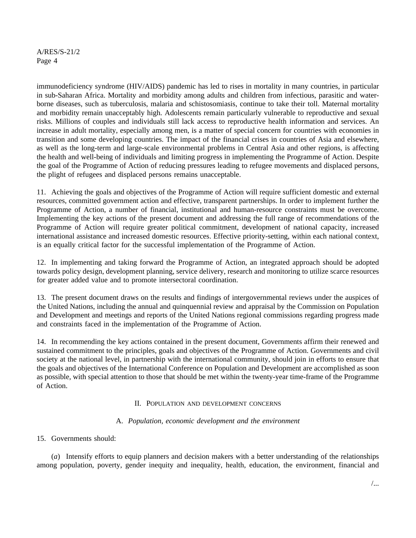immunodeficiency syndrome (HIV/AIDS) pandemic has led to rises in mortality in many countries, in particular in sub-Saharan Africa. Mortality and morbidity among adults and children from infectious, parasitic and waterborne diseases, such as tuberculosis, malaria and schistosomiasis, continue to take their toll. Maternal mortality and morbidity remain unacceptably high. Adolescents remain particularly vulnerable to reproductive and sexual risks. Millions of couples and individuals still lack access to reproductive health information and services. An increase in adult mortality, especially among men, is a matter of special concern for countries with economies in transition and some developing countries. The impact of the financial crises in countries of Asia and elsewhere, as well as the long-term and large-scale environmental problems in Central Asia and other regions, is affecting the health and well-being of individuals and limiting progress in implementing the Programme of Action. Despite the goal of the Programme of Action of reducing pressures leading to refugee movements and displaced persons, the plight of refugees and displaced persons remains unacceptable.

11. Achieving the goals and objectives of the Programme of Action will require sufficient domestic and external resources, committed government action and effective, transparent partnerships. In order to implement further the Programme of Action, a number of financial, institutional and human-resource constraints must be overcome. Implementing the key actions of the present document and addressing the full range of recommendations of the Programme of Action will require greater political commitment, development of national capacity, increased international assistance and increased domestic resources. Effective priority-setting, within each national context, is an equally critical factor for the successful implementation of the Programme of Action.

12. In implementing and taking forward the Programme of Action, an integrated approach should be adopted towards policy design, development planning, service delivery, research and monitoring to utilize scarce resources for greater added value and to promote intersectoral coordination.

13. The present document draws on the results and findings of intergovernmental reviews under the auspices of the United Nations, including the annual and quinquennial review and appraisal by the Commission on Population and Development and meetings and reports of the United Nations regional commissions regarding progress made and constraints faced in the implementation of the Programme of Action.

14. In recommending the key actions contained in the present document, Governments affirm their renewed and sustained commitment to the principles, goals and objectives of the Programme of Action. Governments and civil society at the national level, in partnership with the international community, should join in efforts to ensure that the goals and objectives of the International Conference on Population and Development are accomplished as soon as possible, with special attention to those that should be met within the twenty-year time-frame of the Programme of Action.

# II. POPULATION AND DEVELOPMENT CONCERNS

# A. *Population, economic development and the environment*

# 15. Governments should:

(*a*) Intensify efforts to equip planners and decision makers with a better understanding of the relationships among population, poverty, gender inequity and inequality, health, education, the environment, financial and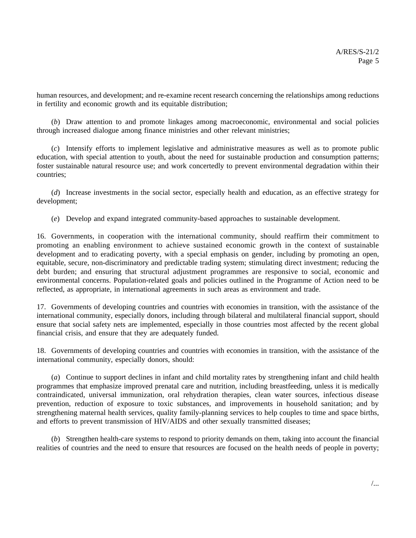human resources, and development; and re-examine recent research concerning the relationships among reductions in fertility and economic growth and its equitable distribution;

(*b*) Draw attention to and promote linkages among macroeconomic, environmental and social policies through increased dialogue among finance ministries and other relevant ministries;

(*c*) Intensify efforts to implement legislative and administrative measures as well as to promote public education, with special attention to youth, about the need for sustainable production and consumption patterns; foster sustainable natural resource use; and work concertedly to prevent environmental degradation within their countries;

(*d*) Increase investments in the social sector, especially health and education, as an effective strategy for development;

(*e*) Develop and expand integrated community-based approaches to sustainable development.

16. Governments, in cooperation with the international community, should reaffirm their commitment to promoting an enabling environment to achieve sustained economic growth in the context of sustainable development and to eradicating poverty, with a special emphasis on gender, including by promoting an open, equitable, secure, non-discriminatory and predictable trading system; stimulating direct investment; reducing the debt burden; and ensuring that structural adjustment programmes are responsive to social, economic and environmental concerns. Population-related goals and policies outlined in the Programme of Action need to be reflected, as appropriate, in international agreements in such areas as environment and trade.

17. Governments of developing countries and countries with economies in transition, with the assistance of the international community, especially donors, including through bilateral and multilateral financial support, should ensure that social safety nets are implemented, especially in those countries most affected by the recent global financial crisis, and ensure that they are adequately funded.

18. Governments of developing countries and countries with economies in transition, with the assistance of the international community, especially donors, should:

(*a*) Continue to support declines in infant and child mortality rates by strengthening infant and child health programmes that emphasize improved prenatal care and nutrition, including breastfeeding, unless it is medically contraindicated, universal immunization, oral rehydration therapies, clean water sources, infectious disease prevention, reduction of exposure to toxic substances, and improvements in household sanitation; and by strengthening maternal health services, quality family-planning services to help couples to time and space births, and efforts to prevent transmission of HIV/AIDS and other sexually transmitted diseases;

(*b*) Strengthen health-care systems to respond to priority demands on them, taking into account the financial realities of countries and the need to ensure that resources are focused on the health needs of people in poverty;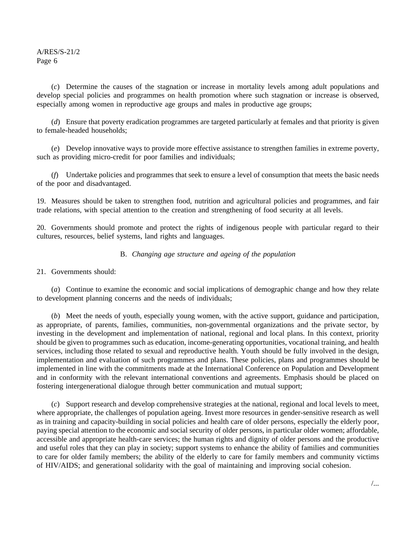(*c*) Determine the causes of the stagnation or increase in mortality levels among adult populations and develop special policies and programmes on health promotion where such stagnation or increase is observed, especially among women in reproductive age groups and males in productive age groups;

(*d*) Ensure that poverty eradication programmes are targeted particularly at females and that priority is given to female-headed households;

(*e*) Develop innovative ways to provide more effective assistance to strengthen families in extreme poverty, such as providing micro-credit for poor families and individuals;

(*f*) Undertake policies and programmes that seek to ensure a level of consumption that meets the basic needs of the poor and disadvantaged.

19. Measures should be taken to strengthen food, nutrition and agricultural policies and programmes, and fair trade relations, with special attention to the creation and strengthening of food security at all levels.

20. Governments should promote and protect the rights of indigenous people with particular regard to their cultures, resources, belief systems, land rights and languages.

# B. *Changing age structure and ageing of the population*

21. Governments should:

(*a*) Continue to examine the economic and social implications of demographic change and how they relate to development planning concerns and the needs of individuals;

(*b*) Meet the needs of youth, especially young women, with the active support, guidance and participation, as appropriate, of parents, families, communities, non-governmental organizations and the private sector, by investing in the development and implementation of national, regional and local plans. In this context, priority should be given to programmes such as education, income-generating opportunities, vocational training, and health services, including those related to sexual and reproductive health. Youth should be fully involved in the design, implementation and evaluation of such programmes and plans. These policies, plans and programmes should be implemented in line with the commitments made at the International Conference on Population and Development and in conformity with the relevant international conventions and agreements. Emphasis should be placed on fostering intergenerational dialogue through better communication and mutual support;

(*c*) Support research and develop comprehensive strategies at the national, regional and local levels to meet, where appropriate, the challenges of population ageing. Invest more resources in gender-sensitive research as well as in training and capacity-building in social policies and health care of older persons, especially the elderly poor, paying special attention to the economic and social security of older persons, in particular older women; affordable, accessible and appropriate health-care services; the human rights and dignity of older persons and the productive and useful roles that they can play in society; support systems to enhance the ability of families and communities to care for older family members; the ability of the elderly to care for family members and community victims of HIV/AIDS; and generational solidarity with the goal of maintaining and improving social cohesion.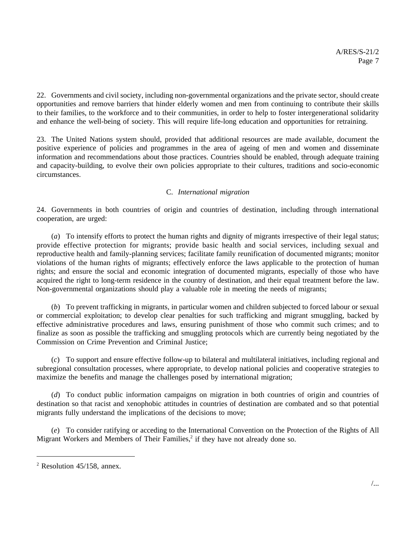22. Governments and civil society, including non-governmental organizations and the private sector, should create opportunities and remove barriers that hinder elderly women and men from continuing to contribute their skills to their families, to the workforce and to their communities, in order to help to foster intergenerational solidarity and enhance the well-being of society. This will require life-long education and opportunities for retraining.

23. The United Nations system should, provided that additional resources are made available, document the positive experience of policies and programmes in the area of ageing of men and women and disseminate information and recommendations about those practices. Countries should be enabled, through adequate training and capacity-building, to evolve their own policies appropriate to their cultures, traditions and socio-economic circumstances.

### C. *International migration*

24. Governments in both countries of origin and countries of destination, including through international cooperation, are urged:

(*a*) To intensify efforts to protect the human rights and dignity of migrants irrespective of their legal status; provide effective protection for migrants; provide basic health and social services, including sexual and reproductive health and family-planning services; facilitate family reunification of documented migrants; monitor violations of the human rights of migrants; effectively enforce the laws applicable to the protection of human rights; and ensure the social and economic integration of documented migrants, especially of those who have acquired the right to long-term residence in the country of destination, and their equal treatment before the law. Non-governmental organizations should play a valuable role in meeting the needs of migrants;

(*b*) To prevent trafficking in migrants, in particular women and children subjected to forced labour or sexual or commercial exploitation; to develop clear penalties for such trafficking and migrant smuggling, backed by effective administrative procedures and laws, ensuring punishment of those who commit such crimes; and to finalize as soon as possible the trafficking and smuggling protocols which are currently being negotiated by the Commission on Crime Prevention and Criminal Justice;

(*c*) To support and ensure effective follow-up to bilateral and multilateral initiatives, including regional and subregional consultation processes, where appropriate, to develop national policies and cooperative strategies to maximize the benefits and manage the challenges posed by international migration;

(*d*) To conduct public information campaigns on migration in both countries of origin and countries of destination so that racist and xenophobic attitudes in countries of destination are combated and so that potential migrants fully understand the implications of the decisions to move;

(*e*) To consider ratifying or acceding to the International Convention on the Protection of the Rights of All Migrant Workers and Members of Their Families, $<sup>2</sup>$  if they have not already done so.</sup>

 $2$  Resolution 45/158, annex.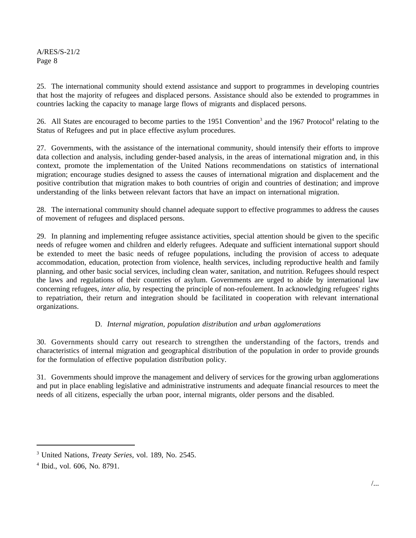25. The international community should extend assistance and support to programmes in developing countries that host the majority of refugees and displaced persons. Assistance should also be extended to programmes in countries lacking the capacity to manage large flows of migrants and displaced persons.

26. All States are encouraged to become parties to the 1951 Convention<sup>3</sup> and the 1967 Protocol<sup>4</sup> relating to the Status of Refugees and put in place effective asylum procedures.

27. Governments, with the assistance of the international community, should intensify their efforts to improve data collection and analysis, including gender-based analysis, in the areas of international migration and, in this context, promote the implementation of the United Nations recommendations on statistics of international migration; encourage studies designed to assess the causes of international migration and displacement and the positive contribution that migration makes to both countries of origin and countries of destination; and improve understanding of the links between relevant factors that have an impact on international migration.

28. The international community should channel adequate support to effective programmes to address the causes of movement of refugees and displaced persons.

29. In planning and implementing refugee assistance activities, special attention should be given to the specific needs of refugee women and children and elderly refugees. Adequate and sufficient international support should be extended to meet the basic needs of refugee populations, including the provision of access to adequate accommodation, education, protection from violence, health services, including reproductive health and family planning, and other basic social services, including clean water, sanitation, and nutrition. Refugees should respect the laws and regulations of their countries of asylum. Governments are urged to abide by international law concerning refugees, *inter alia*, by respecting the principle of non-refoulement. In acknowledging refugees' rights to repatriation, their return and integration should be facilitated in cooperation with relevant international organizations.

# D. *Internal migration, population distribution and urban agglomerations*

30. Governments should carry out research to strengthen the understanding of the factors, trends and characteristics of internal migration and geographical distribution of the population in order to provide grounds for the formulation of effective population distribution policy.

31. Governments should improve the management and delivery of services for the growing urban agglomerations and put in place enabling legislative and administrative instruments and adequate financial resources to meet the needs of all citizens, especially the urban poor, internal migrants, older persons and the disabled.

<sup>3</sup> United Nations, *Treaty Series*, vol. 189, No. 2545.

<sup>4</sup> Ibid., vol. 606, No. 8791.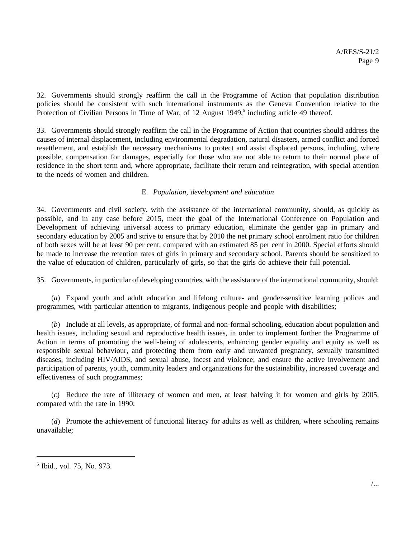32. Governments should strongly reaffirm the call in the Programme of Action that population distribution policies should be consistent with such international instruments as the Geneva Convention relative to the Protection of Civilian Persons in Time of War, of 12 August 1949,<sup>5</sup> including article 49 thereof.

33. Governments should strongly reaffirm the call in the Programme of Action that countries should address the causes of internal displacement, including environmental degradation, natural disasters, armed conflict and forced resettlement, and establish the necessary mechanisms to protect and assist displaced persons, including, where possible, compensation for damages, especially for those who are not able to return to their normal place of residence in the short term and, where appropriate, facilitate their return and reintegration, with special attention to the needs of women and children.

# E. *Population, development and education*

34. Governments and civil society, with the assistance of the international community, should, as quickly as possible, and in any case before 2015, meet the goal of the International Conference on Population and Development of achieving universal access to primary education, eliminate the gender gap in primary and secondary education by 2005 and strive to ensure that by 2010 the net primary school enrolment ratio for children of both sexes will be at least 90 per cent, compared with an estimated 85 per cent in 2000. Special efforts should be made to increase the retention rates of girls in primary and secondary school. Parents should be sensitized to the value of education of children, particularly of girls, so that the girls do achieve their full potential.

35. Governments, in particular of developing countries, with the assistance of the international community, should:

(*a*) Expand youth and adult education and lifelong culture- and gender-sensitive learning polices and programmes, with particular attention to migrants, indigenous people and people with disabilities;

(*b*) Include at all levels, as appropriate, of formal and non-formal schooling, education about population and health issues, including sexual and reproductive health issues, in order to implement further the Programme of Action in terms of promoting the well-being of adolescents, enhancing gender equality and equity as well as responsible sexual behaviour, and protecting them from early and unwanted pregnancy, sexually transmitted diseases, including HIV/AIDS, and sexual abuse, incest and violence; and ensure the active involvement and participation of parents, youth, community leaders and organizations for the sustainability, increased coverage and effectiveness of such programmes;

(*c*) Reduce the rate of illiteracy of women and men, at least halving it for women and girls by 2005, compared with the rate in 1990;

(*d*) Promote the achievement of functional literacy for adults as well as children, where schooling remains unavailable;

<sup>5</sup> Ibid., vol. 75, No. 973.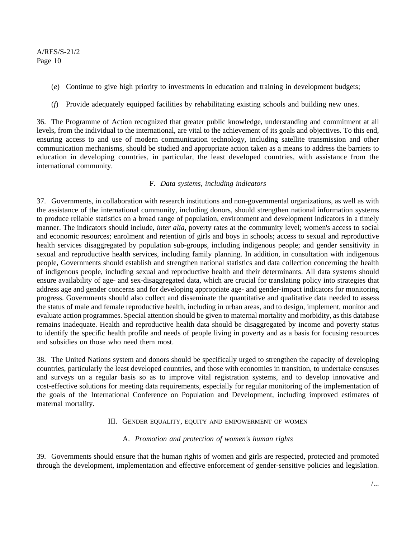- (*e*) Continue to give high priority to investments in education and training in development budgets;
- (*f*) Provide adequately equipped facilities by rehabilitating existing schools and building new ones.

36. The Programme of Action recognized that greater public knowledge, understanding and commitment at all levels, from the individual to the international, are vital to the achievement of its goals and objectives. To this end, ensuring access to and use of modern communication technology, including satellite transmission and other communication mechanisms, should be studied and appropriate action taken as a means to address the barriers to education in developing countries, in particular, the least developed countries, with assistance from the international community.

### F. *Data systems, including indicators*

37. Governments, in collaboration with research institutions and non-governmental organizations, as well as with the assistance of the international community, including donors, should strengthen national information systems to produce reliable statistics on a broad range of population, environment and development indicators in a timely manner. The indicators should include, *inter alia*, poverty rates at the community level; women's access to social and economic resources; enrolment and retention of girls and boys in schools; access to sexual and reproductive health services disaggregated by population sub-groups, including indigenous people; and gender sensitivity in sexual and reproductive health services, including family planning. In addition, in consultation with indigenous people, Governments should establish and strengthen national statistics and data collection concerning the health of indigenous people, including sexual and reproductive health and their determinants. All data systems should ensure availability of age- and sex-disaggregated data, which are crucial for translating policy into strategies that address age and gender concerns and for developing appropriate age- and gender-impact indicators for monitoring progress. Governments should also collect and disseminate the quantitative and qualitative data needed to assess the status of male and female reproductive health, including in urban areas, and to design, implement, monitor and evaluate action programmes. Special attention should be given to maternal mortality and morbidity, as this database remains inadequate. Health and reproductive health data should be disaggregated by income and poverty status to identify the specific health profile and needs of people living in poverty and as a basis for focusing resources and subsidies on those who need them most.

38. The United Nations system and donors should be specifically urged to strengthen the capacity of developing countries, particularly the least developed countries, and those with economies in transition, to undertake censuses and surveys on a regular basis so as to improve vital registration systems, and to develop innovative and cost-effective solutions for meeting data requirements, especially for regular monitoring of the implementation of the goals of the International Conference on Population and Development, including improved estimates of maternal mortality.

#### III. GENDER EQUALITY, EQUITY AND EMPOWERMENT OF WOMEN

#### A. *Promotion and protection of women's human rights*

39. Governments should ensure that the human rights of women and girls are respected, protected and promoted through the development, implementation and effective enforcement of gender-sensitive policies and legislation.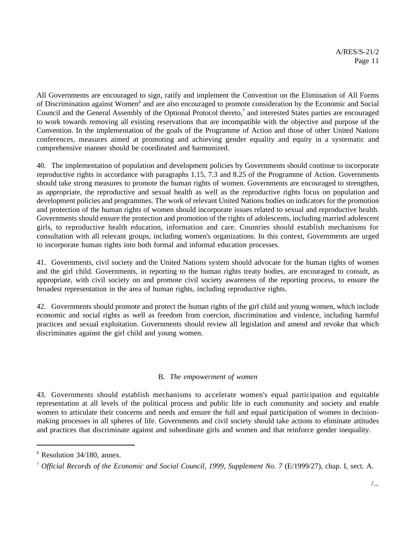All Governments are encouraged to sign, ratify and implement the Convention on the Elimination of All Forms of Discrimination against Women<sup>6</sup> and are also encouraged to promote consideration by the Economic and Social Council and the General Assembly of the Optional Protocol thereto,<sup>7</sup> and interested States parties are encouraged to work towards removing all existing reservations that are incompatible with the objective and purpose of the Convention. In the implementation of the goals of the Programme of Action and those of other United Nations conferences, measures aimed at promoting and achieving gender equality and equity in a systematic and comprehensive manner should be coordinated and harmonized.

40. The implementation of population and development policies by Governments should continue to incorporate reproductive rights in accordance with paragraphs 1.15, 7.3 and 8.25 of the Programme of Action. Governments should take strong measures to promote the human rights of women. Governments are encouraged to strengthen, as appropriate, the reproductive and sexual health as well as the reproductive rights focus on population and development policies and programmes. The work of relevant United Nations bodies on indicators for the promotion and protection of the human rights of women should incorporate issues related to sexual and reproductive health. Governments should ensure the protection and promotion of the rights of adolescents, including married adolescent girls, to reproductive health education, information and care. Countries should establish mechanisms for consultation with all relevant groups, including women's organizations. In this context, Governments are urged to incorporate human rights into both formal and informal education processes.

41. Governments, civil society and the United Nations system should advocate for the human rights of women and the girl child. Governments, in reporting to the human rights treaty bodies, are encouraged to consult, as appropriate, with civil society on and promote civil society awareness of the reporting process, to ensure the broadest representation in the area of human rights, including reproductive rights.

42. Governments should promote and protect the human rights of the girl child and young women, which include economic and social rights as well as freedom from coercion, discrimination and violence, including harmful practices and sexual exploitation. Governments should review all legislation and amend and revoke that which discriminates against the girl child and young women.

# B. *The empowerment of women*

43. Governments should establish mechanisms to accelerate women's equal participation and equitable representation at all levels of the political process and public life in each community and society and enable women to articulate their concerns and needs and ensure the full and equal participation of women in decisionmaking processes in all spheres of life. Governments and civil society should take actions to eliminate attitudes and practices that discriminate against and subordinate girls and women and that reinforce gender inequality.

 $6$  Resolution 34/180, annex.

<sup>7</sup> *Official Records of the Economic and Social Council, 1999, Supplement No. 7* (E/1999/27), chap. I, sect. A.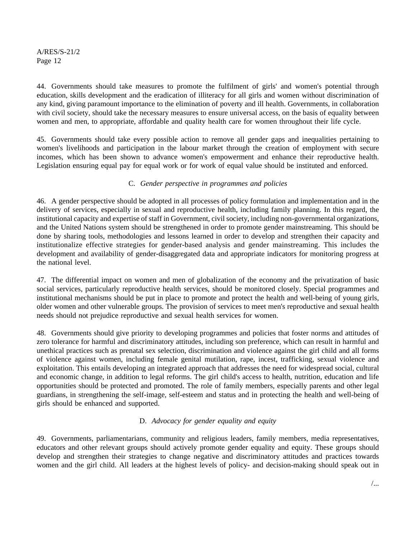44. Governments should take measures to promote the fulfilment of girls' and women's potential through education, skills development and the eradication of illiteracy for all girls and women without discrimination of any kind, giving paramount importance to the elimination of poverty and ill health. Governments, in collaboration with civil society, should take the necessary measures to ensure universal access, on the basis of equality between women and men, to appropriate, affordable and quality health care for women throughout their life cycle.

45. Governments should take every possible action to remove all gender gaps and inequalities pertaining to women's livelihoods and participation in the labour market through the creation of employment with secure incomes, which has been shown to advance women's empowerment and enhance their reproductive health. Legislation ensuring equal pay for equal work or for work of equal value should be instituted and enforced.

# C. *Gender perspective in programmes and policies*

46. A gender perspective should be adopted in all processes of policy formulation and implementation and in the delivery of services, especially in sexual and reproductive health, including family planning. In this regard, the institutional capacity and expertise of staff in Government, civil society, including non-governmental organizations, and the United Nations system should be strengthened in order to promote gender mainstreaming. This should be done by sharing tools, methodologies and lessons learned in order to develop and strengthen their capacity and institutionalize effective strategies for gender-based analysis and gender mainstreaming. This includes the development and availability of gender-disaggregated data and appropriate indicators for monitoring progress at the national level.

47. The differential impact on women and men of globalization of the economy and the privatization of basic social services, particularly reproductive health services, should be monitored closely. Special programmes and institutional mechanisms should be put in place to promote and protect the health and well-being of young girls, older women and other vulnerable groups. The provision of services to meet men's reproductive and sexual health needs should not prejudice reproductive and sexual health services for women.

48. Governments should give priority to developing programmes and policies that foster norms and attitudes of zero tolerance for harmful and discriminatory attitudes, including son preference, which can result in harmful and unethical practices such as prenatal sex selection, discrimination and violence against the girl child and all forms of violence against women, including female genital mutilation, rape, incest, trafficking, sexual violence and exploitation. This entails developing an integrated approach that addresses the need for widespread social, cultural and economic change, in addition to legal reforms. The girl child's access to health, nutrition, education and life opportunities should be protected and promoted. The role of family members, especially parents and other legal guardians, in strengthening the self-image, self-esteem and status and in protecting the health and well-being of girls should be enhanced and supported.

# D. *Advocacy for gender equality and equity*

49. Governments, parliamentarians, community and religious leaders, family members, media representatives, educators and other relevant groups should actively promote gender equality and equity. These groups should develop and strengthen their strategies to change negative and discriminatory attitudes and practices towards women and the girl child. All leaders at the highest levels of policy- and decision-making should speak out in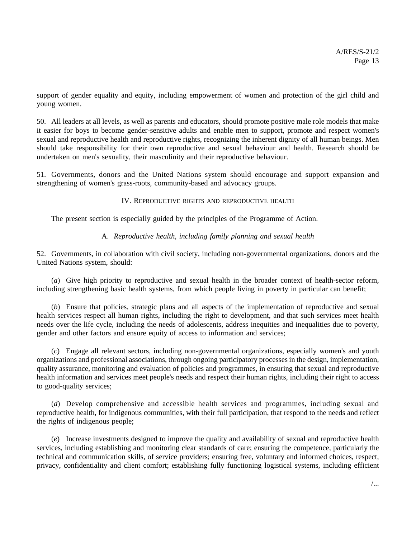support of gender equality and equity, including empowerment of women and protection of the girl child and young women.

50. All leaders at all levels, as well as parents and educators, should promote positive male role models that make it easier for boys to become gender-sensitive adults and enable men to support, promote and respect women's sexual and reproductive health and reproductive rights, recognizing the inherent dignity of all human beings. Men should take responsibility for their own reproductive and sexual behaviour and health. Research should be undertaken on men's sexuality, their masculinity and their reproductive behaviour.

51. Governments, donors and the United Nations system should encourage and support expansion and strengthening of women's grass-roots, community-based and advocacy groups.

### IV. REPRODUCTIVE RIGHTS AND REPRODUCTIVE HEALTH

The present section is especially guided by the principles of the Programme of Action.

# A. *Reproductive health, including family planning and sexual health*

52. Governments, in collaboration with civil society, including non-governmental organizations, donors and the United Nations system, should:

(*a*) Give high priority to reproductive and sexual health in the broader context of health-sector reform, including strengthening basic health systems, from which people living in poverty in particular can benefit;

(*b*) Ensure that policies, strategic plans and all aspects of the implementation of reproductive and sexual health services respect all human rights, including the right to development, and that such services meet health needs over the life cycle, including the needs of adolescents, address inequities and inequalities due to poverty, gender and other factors and ensure equity of access to information and services;

(*c*) Engage all relevant sectors, including non-governmental organizations, especially women's and youth organizations and professional associations, through ongoing participatory processes in the design, implementation, quality assurance, monitoring and evaluation of policies and programmes, in ensuring that sexual and reproductive health information and services meet people's needs and respect their human rights, including their right to access to good-quality services;

(*d*) Develop comprehensive and accessible health services and programmes, including sexual and reproductive health, for indigenous communities, with their full participation, that respond to the needs and reflect the rights of indigenous people;

(*e*) Increase investments designed to improve the quality and availability of sexual and reproductive health services, including establishing and monitoring clear standards of care; ensuring the competence, particularly the technical and communication skills, of service providers; ensuring free, voluntary and informed choices, respect, privacy, confidentiality and client comfort; establishing fully functioning logistical systems, including efficient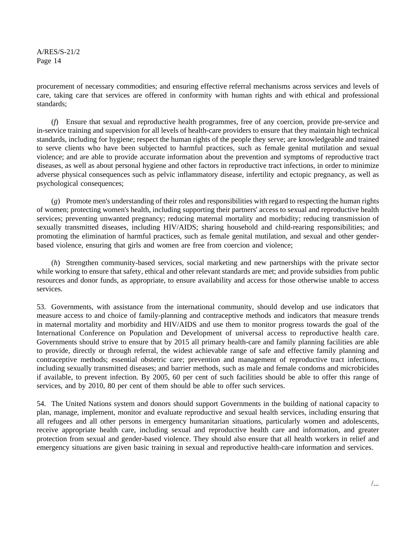procurement of necessary commodities; and ensuring effective referral mechanisms across services and levels of care, taking care that services are offered in conformity with human rights and with ethical and professional standards;

(*f*) Ensure that sexual and reproductive health programmes, free of any coercion, provide pre-service and in-service training and supervision for all levels of health-care providers to ensure that they maintain high technical standards, including for hygiene; respect the human rights of the people they serve; are knowledgeable and trained to serve clients who have been subjected to harmful practices, such as female genital mutilation and sexual violence; and are able to provide accurate information about the prevention and symptoms of reproductive tract diseases, as well as about personal hygiene and other factors in reproductive tract infections, in order to minimize adverse physical consequences such as pelvic inflammatory disease, infertility and ectopic pregnancy, as well as psychological consequences;

(*g*) Promote men's understanding of their roles and responsibilities with regard to respecting the human rights of women; protecting women's health, including supporting their partners' access to sexual and reproductive health services; preventing unwanted pregnancy; reducing maternal mortality and morbidity; reducing transmission of sexually transmitted diseases, including HIV/AIDS; sharing household and child-rearing responsibilities; and promoting the elimination of harmful practices, such as female genital mutilation, and sexual and other genderbased violence, ensuring that girls and women are free from coercion and violence;

(*h*) Strengthen community-based services, social marketing and new partnerships with the private sector while working to ensure that safety, ethical and other relevant standards are met; and provide subsidies from public resources and donor funds, as appropriate, to ensure availability and access for those otherwise unable to access services.

53. Governments, with assistance from the international community, should develop and use indicators that measure access to and choice of family-planning and contraceptive methods and indicators that measure trends in maternal mortality and morbidity and HIV/AIDS and use them to monitor progress towards the goal of the International Conference on Population and Development of universal access to reproductive health care. Governments should strive to ensure that by 2015 all primary health-care and family planning facilities are able to provide, directly or through referral, the widest achievable range of safe and effective family planning and contraceptive methods; essential obstetric care; prevention and management of reproductive tract infections, including sexually transmitted diseases; and barrier methods, such as male and female condoms and microbicides if available, to prevent infection. By 2005, 60 per cent of such facilities should be able to offer this range of services, and by 2010, 80 per cent of them should be able to offer such services.

54. The United Nations system and donors should support Governments in the building of national capacity to plan, manage, implement, monitor and evaluate reproductive and sexual health services, including ensuring that all refugees and all other persons in emergency humanitarian situations, particularly women and adolescents, receive appropriate health care, including sexual and reproductive health care and information, and greater protection from sexual and gender-based violence. They should also ensure that all health workers in relief and emergency situations are given basic training in sexual and reproductive health-care information and services.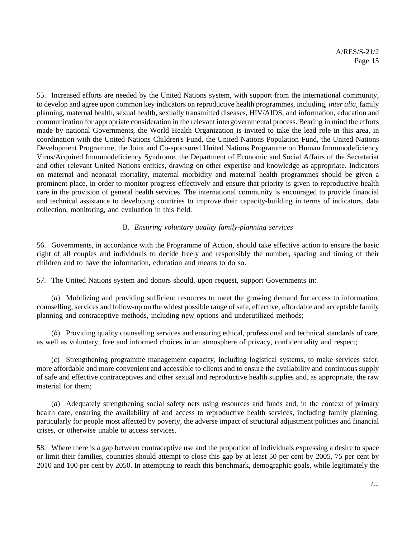55. Increased efforts are needed by the United Nations system, with support from the international community, to develop and agree upon common key indicators on reproductive health programmes, including, *inter alia*, family planning, maternal health, sexual health, sexually transmitted diseases, HIV/AIDS, and information, education and communication for appropriate consideration in the relevant intergovernmental process. Bearing in mind the efforts made by national Governments, the World Health Organization is invited to take the lead role in this area, in coordination with the United Nations Children's Fund, the United Nations Population Fund, the United Nations Development Programme, the Joint and Co-sponsored United Nations Programme on Human Immunodeficiency Virus/Acquired Immunodeficiency Syndrome, the Department of Economic and Social Affairs of the Secretariat and other relevant United Nations entities, drawing on other expertise and knowledge as appropriate. Indicators on maternal and neonatal mortality, maternal morbidity and maternal health programmes should be given a prominent place, in order to monitor progress effectively and ensure that priority is given to reproductive health care in the provision of general health services. The international community is encouraged to provide financial and technical assistance to developing countries to improve their capacity-building in terms of indicators, data collection, monitoring, and evaluation in this field.

# B. *Ensuring voluntary quality family-planning services*

56. Governments, in accordance with the Programme of Action, should take effective action to ensure the basic right of all couples and individuals to decide freely and responsibly the number, spacing and timing of their children and to have the information, education and means to do so.

57. The United Nations system and donors should, upon request, support Governments in:

(*a*) Mobilizing and providing sufficient resources to meet the growing demand for access to information, counselling, services and follow-up on the widest possible range of safe, effective, affordable and acceptable family planning and contraceptive methods, including new options and underutilized methods;

(*b*) Providing quality counselling services and ensuring ethical, professional and technical standards of care, as well as voluntary, free and informed choices in an atmosphere of privacy, confidentiality and respect;

(*c*) Strengthening programme management capacity, including logistical systems, to make services safer, more affordable and more convenient and accessible to clients and to ensure the availability and continuous supply of safe and effective contraceptives and other sexual and reproductive health supplies and, as appropriate, the raw material for them;

(*d*) Adequately strengthening social safety nets using resources and funds and, in the context of primary health care, ensuring the availability of and access to reproductive health services, including family planning, particularly for people most affected by poverty, the adverse impact of structural adjustment policies and financial crises, or otherwise unable to access services.

58. Where there is a gap between contraceptive use and the proportion of individuals expressing a desire to space or limit their families, countries should attempt to close this gap by at least 50 per cent by 2005, 75 per cent by 2010 and 100 per cent by 2050. In attempting to reach this benchmark, demographic goals, while legitimately the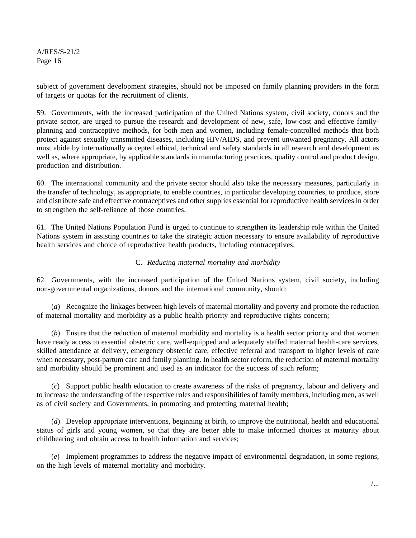subject of government development strategies, should not be imposed on family planning providers in the form of targets or quotas for the recruitment of clients.

59. Governments, with the increased participation of the United Nations system, civil society, donors and the private sector, are urged to pursue the research and development of new, safe, low-cost and effective familyplanning and contraceptive methods, for both men and women, including female-controlled methods that both protect against sexually transmitted diseases, including HIV/AIDS, and prevent unwanted pregnancy. All actors must abide by internationally accepted ethical, technical and safety standards in all research and development as well as, where appropriate, by applicable standards in manufacturing practices, quality control and product design, production and distribution.

60. The international community and the private sector should also take the necessary measures, particularly in the transfer of technology, as appropriate, to enable countries, in particular developing countries, to produce, store and distribute safe and effective contraceptives and other supplies essential for reproductive health services in order to strengthen the self-reliance of those countries.

61. The United Nations Population Fund is urged to continue to strengthen its leadership role within the United Nations system in assisting countries to take the strategic action necessary to ensure availability of reproductive health services and choice of reproductive health products, including contraceptives.

# C. *Reducing maternal mortality and morbidity*

62. Governments, with the increased participation of the United Nations system, civil society, including non-governmental organizations, donors and the international community, should:

(*a*) Recognize the linkages between high levels of maternal mortality and poverty and promote the reduction of maternal mortality and morbidity as a public health priority and reproductive rights concern;

(*b*) Ensure that the reduction of maternal morbidity and mortality is a health sector priority and that women have ready access to essential obstetric care, well-equipped and adequately staffed maternal health-care services, skilled attendance at delivery, emergency obstetric care, effective referral and transport to higher levels of care when necessary, post-partum care and family planning. In health sector reform, the reduction of maternal mortality and morbidity should be prominent and used as an indicator for the success of such reform;

(*c*) Support public health education to create awareness of the risks of pregnancy, labour and delivery and to increase the understanding of the respective roles and responsibilities of family members, including men, as well as of civil society and Governments, in promoting and protecting maternal health;

(*d*) Develop appropriate interventions, beginning at birth, to improve the nutritional, health and educational status of girls and young women, so that they are better able to make informed choices at maturity about childbearing and obtain access to health information and services;

(*e*) Implement programmes to address the negative impact of environmental degradation, in some regions, on the high levels of maternal mortality and morbidity.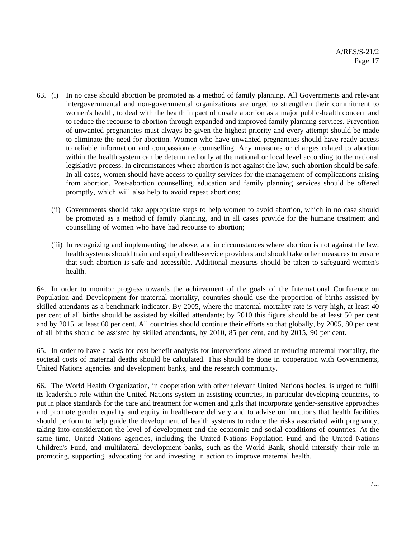- 63. (i) In no case should abortion be promoted as a method of family planning. All Governments and relevant intergovernmental and non-governmental organizations are urged to strengthen their commitment to women's health, to deal with the health impact of unsafe abortion as a major public-health concern and to reduce the recourse to abortion through expanded and improved family planning services. Prevention of unwanted pregnancies must always be given the highest priority and every attempt should be made to eliminate the need for abortion. Women who have unwanted pregnancies should have ready access to reliable information and compassionate counselling. Any measures or changes related to abortion within the health system can be determined only at the national or local level according to the national legislative process. In circumstances where abortion is not against the law, such abortion should be safe. In all cases, women should have access to quality services for the management of complications arising from abortion. Post-abortion counselling, education and family planning services should be offered promptly, which will also help to avoid repeat abortions;
	- (ii) Governments should take appropriate steps to help women to avoid abortion, which in no case should be promoted as a method of family planning, and in all cases provide for the humane treatment and counselling of women who have had recourse to abortion;
	- (iii) In recognizing and implementing the above, and in circumstances where abortion is not against the law, health systems should train and equip health-service providers and should take other measures to ensure that such abortion is safe and accessible. Additional measures should be taken to safeguard women's health.

64. In order to monitor progress towards the achievement of the goals of the International Conference on Population and Development for maternal mortality, countries should use the proportion of births assisted by skilled attendants as a benchmark indicator. By 2005, where the maternal mortality rate is very high, at least 40 per cent of all births should be assisted by skilled attendants; by 2010 this figure should be at least 50 per cent and by 2015, at least 60 per cent. All countries should continue their efforts so that globally, by 2005, 80 per cent of all births should be assisted by skilled attendants, by 2010, 85 per cent, and by 2015, 90 per cent.

65. In order to have a basis for cost-benefit analysis for interventions aimed at reducing maternal mortality, the societal costs of maternal deaths should be calculated. This should be done in cooperation with Governments, United Nations agencies and development banks, and the research community.

66. The World Health Organization, in cooperation with other relevant United Nations bodies, is urged to fulfil its leadership role within the United Nations system in assisting countries, in particular developing countries, to put in place standards for the care and treatment for women and girls that incorporate gender-sensitive approaches and promote gender equality and equity in health-care delivery and to advise on functions that health facilities should perform to help guide the development of health systems to reduce the risks associated with pregnancy, taking into consideration the level of development and the economic and social conditions of countries. At the same time, United Nations agencies, including the United Nations Population Fund and the United Nations Children's Fund, and multilateral development banks, such as the World Bank, should intensify their role in promoting, supporting, advocating for and investing in action to improve maternal health.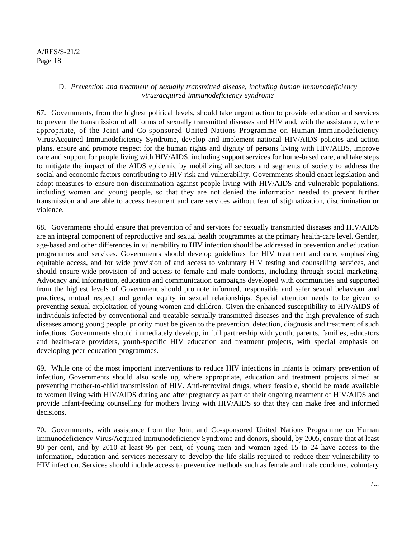### D. *Prevention and treatment of sexually transmitted disease, including human immunodeficiency virus/acquired immunodeficiency syndrome*

67. Governments, from the highest political levels, should take urgent action to provide education and services to prevent the transmission of all forms of sexually transmitted diseases and HIV and, with the assistance, where appropriate, of the Joint and Co-sponsored United Nations Programme on Human Immunodeficiency Virus/Acquired Immunodeficiency Syndrome, develop and implement national HIV/AIDS policies and action plans, ensure and promote respect for the human rights and dignity of persons living with HIV/AIDS, improve care and support for people living with HIV/AIDS, including support services for home-based care, and take steps to mitigate the impact of the AIDS epidemic by mobilizing all sectors and segments of society to address the social and economic factors contributing to HIV risk and vulnerability. Governments should enact legislation and adopt measures to ensure non-discrimination against people living with HIV/AIDS and vulnerable populations, including women and young people, so that they are not denied the information needed to prevent further transmission and are able to access treatment and care services without fear of stigmatization, discrimination or violence.

68. Governments should ensure that prevention of and services for sexually transmitted diseases and HIV/AIDS are an integral component of reproductive and sexual health programmes at the primary health-care level. Gender, age-based and other differences in vulnerability to HIV infection should be addressed in prevention and education programmes and services. Governments should develop guidelines for HIV treatment and care, emphasizing equitable access, and for wide provision of and access to voluntary HIV testing and counselling services, and should ensure wide provision of and access to female and male condoms, including through social marketing. Advocacy and information, education and communication campaigns developed with communities and supported from the highest levels of Government should promote informed, responsible and safer sexual behaviour and practices, mutual respect and gender equity in sexual relationships. Special attention needs to be given to preventing sexual exploitation of young women and children. Given the enhanced susceptibility to HIV/AIDS of individuals infected by conventional and treatable sexually transmitted diseases and the high prevalence of such diseases among young people, priority must be given to the prevention, detection, diagnosis and treatment of such infections. Governments should immediately develop, in full partnership with youth, parents, families, educators and health-care providers, youth-specific HIV education and treatment projects, with special emphasis on developing peer-education programmes.

69. While one of the most important interventions to reduce HIV infections in infants is primary prevention of infection, Governments should also scale up, where appropriate, education and treatment projects aimed at preventing mother-to-child transmission of HIV. Anti-retroviral drugs, where feasible, should be made available to women living with HIV/AIDS during and after pregnancy as part of their ongoing treatment of HIV/AIDS and provide infant-feeding counselling for mothers living with HIV/AIDS so that they can make free and informed decisions.

70. Governments, with assistance from the Joint and Co-sponsored United Nations Programme on Human Immunodeficiency Virus/Acquired Immunodeficiency Syndrome and donors, should, by 2005, ensure that at least 90 per cent, and by 2010 at least 95 per cent, of young men and women aged 15 to 24 have access to the information, education and services necessary to develop the life skills required to reduce their vulnerability to HIV infection. Services should include access to preventive methods such as female and male condoms, voluntary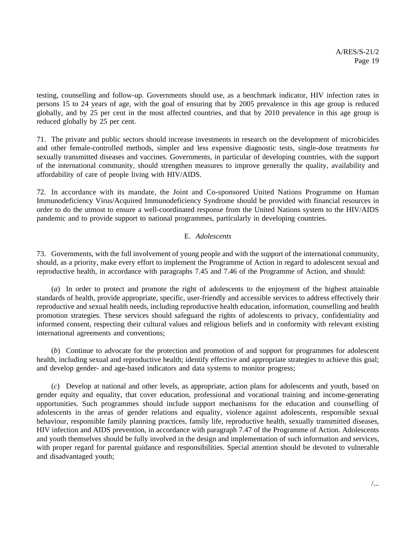testing, counselling and follow-up. Governments should use, as a benchmark indicator, HIV infection rates in persons 15 to 24 years of age, with the goal of ensuring that by 2005 prevalence in this age group is reduced globally, and by 25 per cent in the most affected countries, and that by 2010 prevalence in this age group is reduced globally by 25 per cent.

71. The private and public sectors should increase investments in research on the development of microbicides and other female-controlled methods, simpler and less expensive diagnostic tests, single-dose treatments for sexually transmitted diseases and vaccines. Governments, in particular of developing countries, with the support of the international community, should strengthen measures to improve generally the quality, availability and affordability of care of people living with HIV/AIDS.

72. In accordance with its mandate, the Joint and Co-sponsored United Nations Programme on Human Immunodeficiency Virus/Acquired Immunodeficiency Syndrome should be provided with financial resources in order to do the utmost to ensure a well-coordinated response from the United Nations system to the HIV/AIDS pandemic and to provide support to national programmes, particularly in developing countries.

# E. *Adolescents*

73. Governments, with the full involvement of young people and with the support of the international community, should, as a priority, make every effort to implement the Programme of Action in regard to adolescent sexual and reproductive health, in accordance with paragraphs 7.45 and 7.46 of the Programme of Action, and should:

(*a*) In order to protect and promote the right of adolescents to the enjoyment of the highest attainable standards of health, provide appropriate, specific, user-friendly and accessible services to address effectively their reproductive and sexual health needs, including reproductive health education, information, counselling and health promotion strategies. These services should safeguard the rights of adolescents to privacy, confidentiality and informed consent, respecting their cultural values and religious beliefs and in conformity with relevant existing international agreements and conventions;

(*b*) Continue to advocate for the protection and promotion of and support for programmes for adolescent health, including sexual and reproductive health; identify effective and appropriate strategies to achieve this goal; and develop gender- and age-based indicators and data systems to monitor progress;

(*c*) Develop at national and other levels, as appropriate, action plans for adolescents and youth, based on gender equity and equality, that cover education, professional and vocational training and income-generating opportunities. Such programmes should include support mechanisms for the education and counselling of adolescents in the areas of gender relations and equality, violence against adolescents, responsible sexual behaviour, responsible family planning practices, family life, reproductive health, sexually transmitted diseases, HIV infection and AIDS prevention, in accordance with paragraph 7.47 of the Programme of Action. Adolescents and youth themselves should be fully involved in the design and implementation of such information and services, with proper regard for parental guidance and responsibilities. Special attention should be devoted to vulnerable and disadvantaged youth;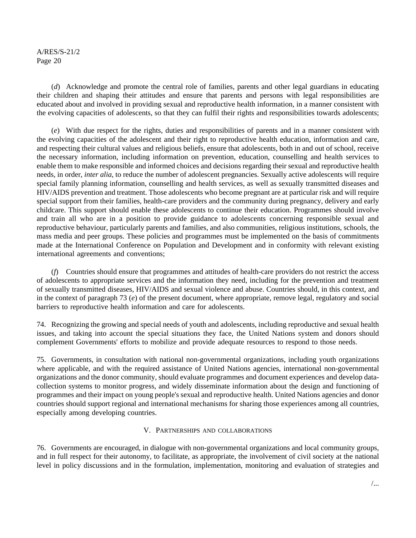(*d*) Acknowledge and promote the central role of families, parents and other legal guardians in educating their children and shaping their attitudes and ensure that parents and persons with legal responsibilities are educated about and involved in providing sexual and reproductive health information, in a manner consistent with the evolving capacities of adolescents, so that they can fulfil their rights and responsibilities towards adolescents;

(*e*) With due respect for the rights, duties and responsibilities of parents and in a manner consistent with the evolving capacities of the adolescent and their right to reproductive health education, information and care, and respecting their cultural values and religious beliefs, ensure that adolescents, both in and out of school, receive the necessary information, including information on prevention, education, counselling and health services to enable them to make responsible and informed choices and decisions regarding their sexual and reproductive health needs, in order, *inter alia*, to reduce the number of adolescent pregnancies. Sexually active adolescents will require special family planning information, counselling and health services, as well as sexually transmitted diseases and HIV/AIDS prevention and treatment. Those adolescents who become pregnant are at particular risk and will require special support from their families, health-care providers and the community during pregnancy, delivery and early childcare. This support should enable these adolescents to continue their education. Programmes should involve and train all who are in a position to provide guidance to adolescents concerning responsible sexual and reproductive behaviour, particularly parents and families, and also communities, religious institutions, schools, the mass media and peer groups. These policies and programmes must be implemented on the basis of commitments made at the International Conference on Population and Development and in conformity with relevant existing international agreements and conventions;

(*f*) Countries should ensure that programmes and attitudes of health-care providers do not restrict the access of adolescents to appropriate services and the information they need, including for the prevention and treatment of sexually transmitted diseases, HIV/AIDS and sexual violence and abuse. Countries should, in this context, and in the context of paragraph 73 (*e*) of the present document, where appropriate, remove legal, regulatory and social barriers to reproductive health information and care for adolescents.

74. Recognizing the growing and special needs of youth and adolescents, including reproductive and sexual health issues, and taking into account the special situations they face, the United Nations system and donors should complement Governments' efforts to mobilize and provide adequate resources to respond to those needs.

75. Governments, in consultation with national non-governmental organizations, including youth organizations where applicable, and with the required assistance of United Nations agencies, international non-governmental organizations and the donor community, should evaluate programmes and document experiences and develop datacollection systems to monitor progress, and widely disseminate information about the design and functioning of programmes and their impact on young people's sexual and reproductive health. United Nations agencies and donor countries should support regional and international mechanisms for sharing those experiences among all countries, especially among developing countries.

# V. PARTNERSHIPS AND COLLABORATIONS

76. Governments are encouraged, in dialogue with non-governmental organizations and local community groups, and in full respect for their autonomy, to facilitate, as appropriate, the involvement of civil society at the national level in policy discussions and in the formulation, implementation, monitoring and evaluation of strategies and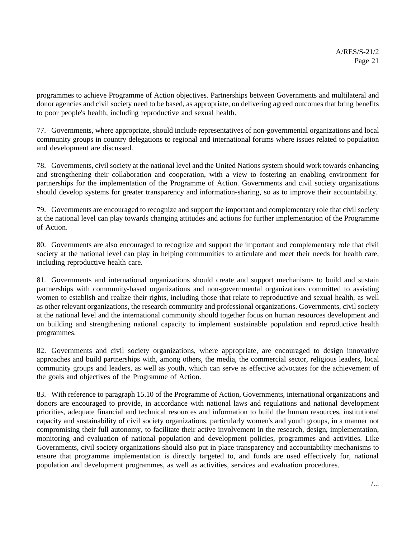programmes to achieve Programme of Action objectives. Partnerships between Governments and multilateral and donor agencies and civil society need to be based, as appropriate, on delivering agreed outcomes that bring benefits to poor people's health, including reproductive and sexual health.

77. Governments, where appropriate, should include representatives of non-governmental organizations and local community groups in country delegations to regional and international forums where issues related to population and development are discussed.

78. Governments, civil society at the national level and the United Nations system should work towards enhancing and strengthening their collaboration and cooperation, with a view to fostering an enabling environment for partnerships for the implementation of the Programme of Action. Governments and civil society organizations should develop systems for greater transparency and information-sharing, so as to improve their accountability.

79. Governments are encouraged to recognize and support the important and complementary role that civil society at the national level can play towards changing attitudes and actions for further implementation of the Programme of Action.

80. Governments are also encouraged to recognize and support the important and complementary role that civil society at the national level can play in helping communities to articulate and meet their needs for health care, including reproductive health care.

81. Governments and international organizations should create and support mechanisms to build and sustain partnerships with community-based organizations and non-governmental organizations committed to assisting women to establish and realize their rights, including those that relate to reproductive and sexual health, as well as other relevant organizations, the research community and professional organizations. Governments, civil society at the national level and the international community should together focus on human resources development and on building and strengthening national capacity to implement sustainable population and reproductive health programmes.

82. Governments and civil society organizations, where appropriate, are encouraged to design innovative approaches and build partnerships with, among others, the media, the commercial sector, religious leaders, local community groups and leaders, as well as youth, which can serve as effective advocates for the achievement of the goals and objectives of the Programme of Action.

83. With reference to paragraph 15.10 of the Programme of Action, Governments, international organizations and donors are encouraged to provide, in accordance with national laws and regulations and national development priorities, adequate financial and technical resources and information to build the human resources, institutional capacity and sustainability of civil society organizations, particularly women's and youth groups, in a manner not compromising their full autonomy, to facilitate their active involvement in the research, design, implementation, monitoring and evaluation of national population and development policies, programmes and activities. Like Governments, civil society organizations should also put in place transparency and accountability mechanisms to ensure that programme implementation is directly targeted to, and funds are used effectively for, national population and development programmes, as well as activities, services and evaluation procedures.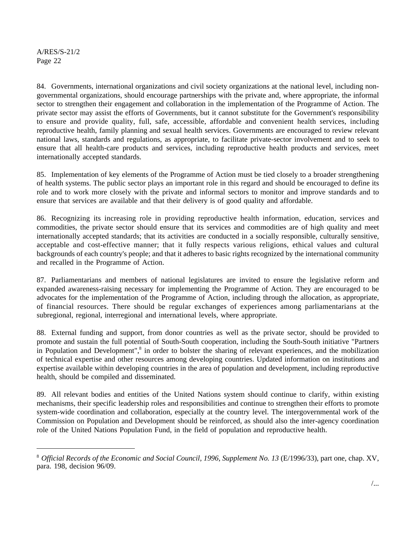84. Governments, international organizations and civil society organizations at the national level, including nongovernmental organizations, should encourage partnerships with the private and, where appropriate, the informal sector to strengthen their engagement and collaboration in the implementation of the Programme of Action. The private sector may assist the efforts of Governments, but it cannot substitute for the Government's responsibility to ensure and provide quality, full, safe, accessible, affordable and convenient health services, including reproductive health, family planning and sexual health services. Governments are encouraged to review relevant national laws, standards and regulations, as appropriate, to facilitate private-sector involvement and to seek to ensure that all health-care products and services, including reproductive health products and services, meet internationally accepted standards.

85. Implementation of key elements of the Programme of Action must be tied closely to a broader strengthening of health systems. The public sector plays an important role in this regard and should be encouraged to define its role and to work more closely with the private and informal sectors to monitor and improve standards and to ensure that services are available and that their delivery is of good quality and affordable.

86. Recognizing its increasing role in providing reproductive health information, education, services and commodities, the private sector should ensure that its services and commodities are of high quality and meet internationally accepted standards; that its activities are conducted in a socially responsible, culturally sensitive, acceptable and cost-effective manner; that it fully respects various religions, ethical values and cultural backgrounds of each country's people; and that it adheres to basic rights recognized by the international community and recalled in the Programme of Action.

87. Parliamentarians and members of national legislatures are invited to ensure the legislative reform and expanded awareness-raising necessary for implementing the Programme of Action. They are encouraged to be advocates for the implementation of the Programme of Action, including through the allocation, as appropriate, of financial resources. There should be regular exchanges of experiences among parliamentarians at the subregional, regional, interregional and international levels, where appropriate.

88. External funding and support, from donor countries as well as the private sector, should be provided to promote and sustain the full potential of South-South cooperation, including the South-South initiative "Partners in Population and Development",<sup>8</sup> in order to bolster the sharing of relevant experiences, and the mobilization of technical expertise and other resources among developing countries. Updated information on institutions and expertise available within developing countries in the area of population and development, including reproductive health, should be compiled and disseminated.

89. All relevant bodies and entities of the United Nations system should continue to clarify, within existing mechanisms, their specific leadership roles and responsibilities and continue to strengthen their efforts to promote system-wide coordination and collaboration, especially at the country level. The intergovernmental work of the Commission on Population and Development should be reinforced, as should also the inter-agency coordination role of the United Nations Population Fund, in the field of population and reproductive health.

<sup>8</sup> *Official Records of the Economic and Social Council, 1996, Supplement No. 13* (E/1996/33), part one, chap. XV, para. 198, decision 96/09.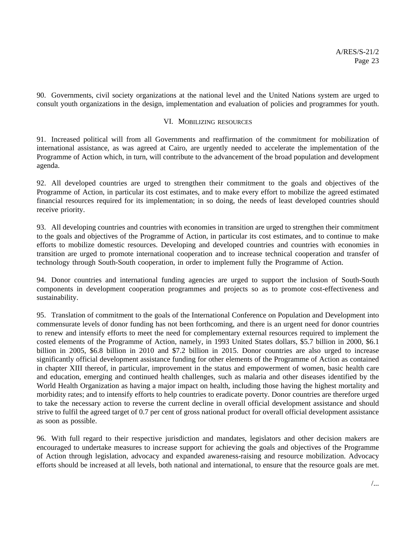90. Governments, civil society organizations at the national level and the United Nations system are urged to consult youth organizations in the design, implementation and evaluation of policies and programmes for youth.

#### VI. MOBILIZING RESOURCES

91. Increased political will from all Governments and reaffirmation of the commitment for mobilization of international assistance, as was agreed at Cairo, are urgently needed to accelerate the implementation of the Programme of Action which, in turn, will contribute to the advancement of the broad population and development agenda.

92. All developed countries are urged to strengthen their commitment to the goals and objectives of the Programme of Action, in particular its cost estimates, and to make every effort to mobilize the agreed estimated financial resources required for its implementation; in so doing, the needs of least developed countries should receive priority.

93. All developing countries and countries with economies in transition are urged to strengthen their commitment to the goals and objectives of the Programme of Action, in particular its cost estimates, and to continue to make efforts to mobilize domestic resources. Developing and developed countries and countries with economies in transition are urged to promote international cooperation and to increase technical cooperation and transfer of technology through South-South cooperation, in order to implement fully the Programme of Action.

94. Donor countries and international funding agencies are urged to support the inclusion of South-South components in development cooperation programmes and projects so as to promote cost-effectiveness and sustainability.

95. Translation of commitment to the goals of the International Conference on Population and Development into commensurate levels of donor funding has not been forthcoming, and there is an urgent need for donor countries to renew and intensify efforts to meet the need for complementary external resources required to implement the costed elements of the Programme of Action, namely, in 1993 United States dollars, \$5.7 billion in 2000, \$6.1 billion in 2005, \$6.8 billion in 2010 and \$7.2 billion in 2015. Donor countries are also urged to increase significantly official development assistance funding for other elements of the Programme of Action as contained in chapter XIII thereof, in particular, improvement in the status and empowerment of women, basic health care and education, emerging and continued health challenges, such as malaria and other diseases identified by the World Health Organization as having a major impact on health, including those having the highest mortality and morbidity rates; and to intensify efforts to help countries to eradicate poverty. Donor countries are therefore urged to take the necessary action to reverse the current decline in overall official development assistance and should strive to fulfil the agreed target of 0.7 per cent of gross national product for overall official development assistance as soon as possible.

96. With full regard to their respective jurisdiction and mandates, legislators and other decision makers are encouraged to undertake measures to increase support for achieving the goals and objectives of the Programme of Action through legislation, advocacy and expanded awareness-raising and resource mobilization. Advocacy efforts should be increased at all levels, both national and international, to ensure that the resource goals are met.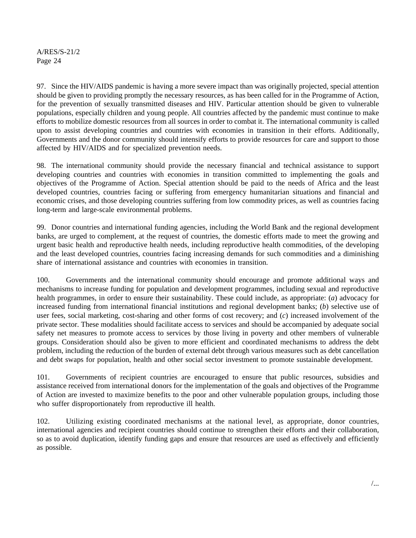97. Since the HIV/AIDS pandemic is having a more severe impact than was originally projected, special attention should be given to providing promptly the necessary resources, as has been called for in the Programme of Action, for the prevention of sexually transmitted diseases and HIV. Particular attention should be given to vulnerable populations, especially children and young people. All countries affected by the pandemic must continue to make efforts to mobilize domestic resources from all sources in order to combat it. The international community is called upon to assist developing countries and countries with economies in transition in their efforts. Additionally, Governments and the donor community should intensify efforts to provide resources for care and support to those affected by HIV/AIDS and for specialized prevention needs.

98. The international community should provide the necessary financial and technical assistance to support developing countries and countries with economies in transition committed to implementing the goals and objectives of the Programme of Action. Special attention should be paid to the needs of Africa and the least developed countries, countries facing or suffering from emergency humanitarian situations and financial and economic crises, and those developing countries suffering from low commodity prices, as well as countries facing long-term and large-scale environmental problems.

99. Donor countries and international funding agencies, including the World Bank and the regional development banks, are urged to complement, at the request of countries, the domestic efforts made to meet the growing and urgent basic health and reproductive health needs, including reproductive health commodities, of the developing and the least developed countries, countries facing increasing demands for such commodities and a diminishing share of international assistance and countries with economies in transition.

100. Governments and the international community should encourage and promote additional ways and mechanisms to increase funding for population and development programmes, including sexual and reproductive health programmes, in order to ensure their sustainability. These could include, as appropriate: (*a*) advocacy for increased funding from international financial institutions and regional development banks; (*b*) selective use of user fees, social marketing, cost-sharing and other forms of cost recovery; and (*c*) increased involvement of the private sector. These modalities should facilitate access to services and should be accompanied by adequate social safety net measures to promote access to services by those living in poverty and other members of vulnerable groups. Consideration should also be given to more efficient and coordinated mechanisms to address the debt problem, including the reduction of the burden of external debt through various measures such as debt cancellation and debt swaps for population, health and other social sector investment to promote sustainable development.

101. Governments of recipient countries are encouraged to ensure that public resources, subsidies and assistance received from international donors for the implementation of the goals and objectives of the Programme of Action are invested to maximize benefits to the poor and other vulnerable population groups, including those who suffer disproportionately from reproductive ill health.

102. Utilizing existing coordinated mechanisms at the national level, as appropriate, donor countries, international agencies and recipient countries should continue to strengthen their efforts and their collaboration, so as to avoid duplication, identify funding gaps and ensure that resources are used as effectively and efficiently as possible.